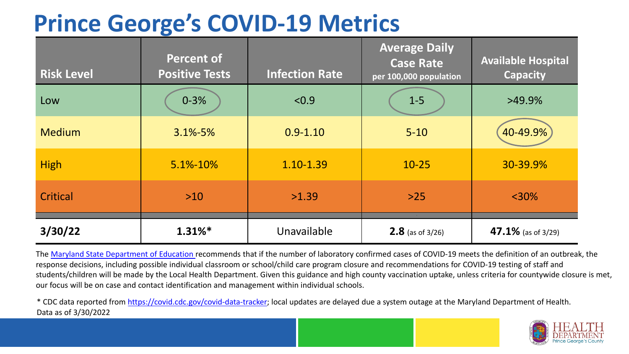## **Prince George's COVID-19 Metrics**

| <b>Risk Level</b> | <b>Percent of</b><br><b>Positive Tests</b> | <b>Infection Rate</b> | <b>Average Daily</b><br><b>Case Rate</b><br>per 100,000 population | <b>Available Hospital</b><br><b>Capacity</b> |
|-------------------|--------------------------------------------|-----------------------|--------------------------------------------------------------------|----------------------------------------------|
| Low               | $0 - 3%$                                   | < 0.9                 | $1-5$                                                              | $>49.9\%$                                    |
| <b>Medium</b>     | $3.1\% - 5\%$                              | $0.9 - 1.10$          | $5 - 10$                                                           | 40-49.9%                                     |
| <b>High</b>       | 5.1%-10%                                   | 1.10-1.39             | $10 - 25$                                                          | 30-39.9%                                     |
| Critical          | $>10$                                      | >1.39                 | $>25$                                                              | $<$ 30%                                      |
| 3/30/22           | $1.31\%$ *                                 | Unavailable           | <b>2.8</b> (as of $3/26$ )                                         | 47.1% (as of $3/29$ )                        |

The [Maryland State Department of Education](https://earlychildhood.marylandpublicschools.org/system/files/filedepot/3/covid_guidance_full_080420.pdf) recommends that if the number of laboratory confirmed cases of COVID-19 meets the definition of an outbreak, the response decisions, including possible individual classroom or school/child care program closure and recommendations for COVID-19 testing of staff and students/children will be made by the Local Health Department. Given this guidance and high county vaccination uptake, unless criteria for countywide closure is met, our focus will be on case and contact identification and management within individual schools.

\* CDC data reported from [https://covid.cdc.gov/covid-data-tracker;](https://covid.cdc.gov/covid-data-tracker) local updates are delayed due a system outage at the Maryland Department of Health. Data as of 3/30/2022

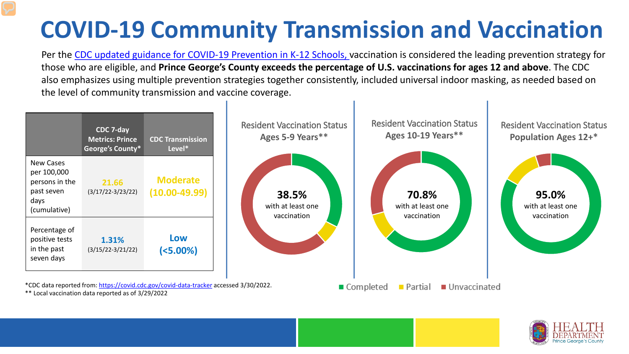## **COVID-19 Community Transmission and Vaccination**

Per the [CDC updated guidance for COVID-19 Prevention in K-12 Schools,](https://www.cdc.gov/coronavirus/2019-ncov/community/schools-childcare/k-12-guidance.html) vaccination is considered the leading prevention strategy for those who are eligible, and **Prince George's County exceeds the percentage of U.S. vaccinations for ages 12 and above**. The CDC also emphasizes using multiple prevention strategies together consistently, included universal indoor masking, as needed based on the level of community transmission and vaccine coverage.



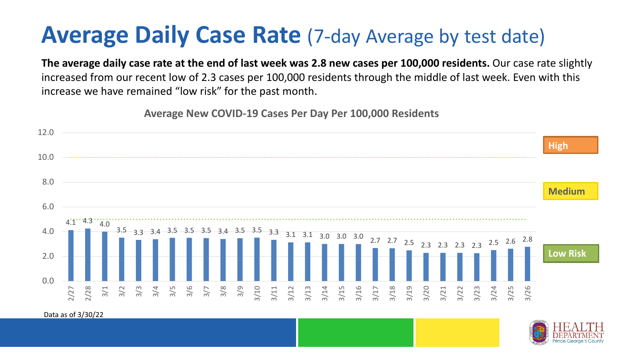## **Average Daily Case Rate** (7-day Average by test date)

**The average daily case rate at the end of last week was 2.8 new cases per 100,000 residents.** Our case rate slightly increased from our recent low of 2.3 cases per 100,000 residents through the middle of last week. Even with this increase we have remained "low risk" for the past month.

**Average New COVID-19 Cases Per Day Per 100,000 Residents**



Data as of 3/30/22